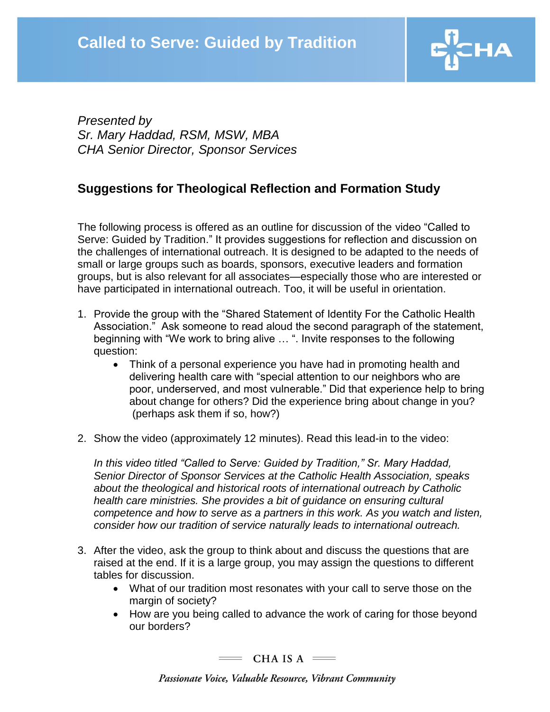

*Presented by Sr. Mary Haddad, RSM, MSW, MBA CHA Senior Director, Sponsor Services*

## **Suggestions for Theological Reflection and Formation Study**

The following process is offered as an outline for discussion of the video "Called to Serve: Guided by Tradition." It provides suggestions for reflection and discussion on the challenges of international outreach. It is designed to be adapted to the needs of small or large groups such as boards, sponsors, executive leaders and formation groups, but is also relevant for all associates—especially those who are interested or have participated in international outreach. Too, it will be useful in orientation.

- 1. Provide the group with the "Shared Statement of Identity For the Catholic Health Association." Ask someone to read aloud the second paragraph of the statement, beginning with "We work to bring alive … ". Invite responses to the following question:
	- Think of a personal experience you have had in promoting health and delivering health care with "special attention to our neighbors who are poor, underserved, and most vulnerable." Did that experience help to bring about change for others? Did the experience bring about change in you? (perhaps ask them if so, how?)
- 2. Show the video (approximately 12 minutes). Read this lead-in to the video:

*In this video titled "Called to Serve: Guided by Tradition," Sr. Mary Haddad, Senior Director of Sponsor Services at the Catholic Health Association, speaks about the theological and historical roots of international outreach by Catholic health care ministries. She provides a bit of guidance on ensuring cultural competence and how to serve as a partners in this work. As you watch and listen, consider how our tradition of service naturally leads to international outreach.*

- 3. After the video, ask the group to think about and discuss the questions that are raised at the end. If it is a large group, you may assign the questions to different tables for discussion.
	- What of our tradition most resonates with your call to serve those on the margin of society?
	- How are you being called to advance the work of caring for those beyond our borders?

 $=$  CHA IS A  $=$